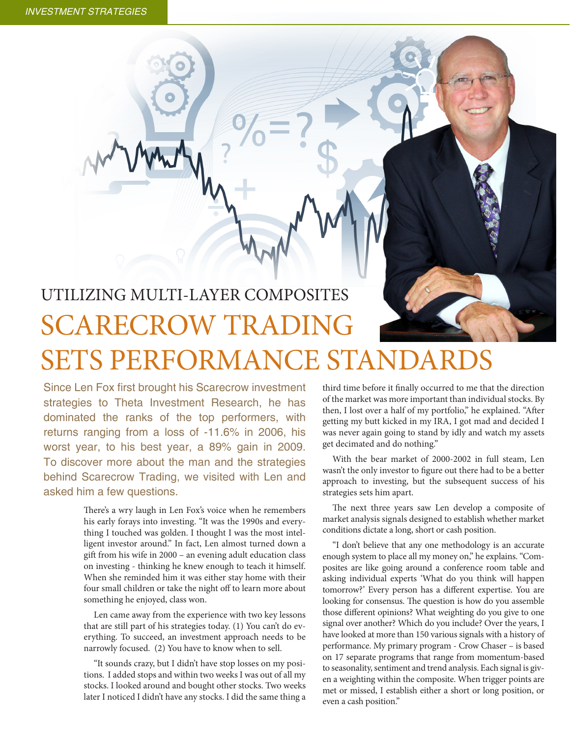## UTILIZING MULTI-LAYER COMPOSITES SCARECROW TRADING SETS PERFORMANCE STANDARDS

Since Len Fox first brought his Scarecrow investment strategies to Theta Investment Research, he has dominated the ranks of the top performers, with returns ranging from a loss of -11.6% in 2006, his worst year, to his best year, a 89% gain in 2009. To discover more about the man and the strategies behind Scarecrow Trading, we visited with Len and asked him a few questions.

> There's a wry laugh in Len Fox's voice when he remembers his early forays into investing. "It was the 1990s and everything I touched was golden. I thought I was the most intelligent investor around." In fact, Len almost turned down a gift from his wife in 2000 – an evening adult education class on investing - thinking he knew enough to teach it himself. When she reminded him it was either stay home with their four small children or take the night off to learn more about something he enjoyed, class won.

> Len came away from the experience with two key lessons that are still part of his strategies today. (1) You can't do everything. To succeed, an investment approach needs to be narrowly focused. (2) You have to know when to sell.

> "It sounds crazy, but I didn't have stop losses on my positions. I added stops and within two weeks I was out of all my stocks. I looked around and bought other stocks. Two weeks later I noticed I didn't have any stocks. I did the same thing a

third time before it finally occurred to me that the direction of the market was more important than individual stocks. By then, I lost over a half of my portfolio," he explained. "After getting my butt kicked in my IRA, I got mad and decided I was never again going to stand by idly and watch my assets get decimated and do nothing."

With the bear market of 2000-2002 in full steam, Len wasn't the only investor to figure out there had to be a better approach to investing, but the subsequent success of his strategies sets him apart.

The next three years saw Len develop a composite of market analysis signals designed to establish whether market conditions dictate a long, short or cash position.

"I don't believe that any one methodology is an accurate enough system to place all my money on," he explains. "Composites are like going around a conference room table and asking individual experts 'What do you think will happen tomorrow?' Every person has a different expertise. You are looking for consensus. The question is how do you assemble those different opinions? What weighting do you give to one signal over another? Which do you include? Over the years, I have looked at more than 150 various signals with a history of performance. My primary program - Crow Chaser – is based on 17 separate programs that range from momentum-based to seasonality, sentiment and trend analysis. Each signal is given a weighting within the composite. When trigger points are met or missed, I establish either a short or long position, or even a cash position."